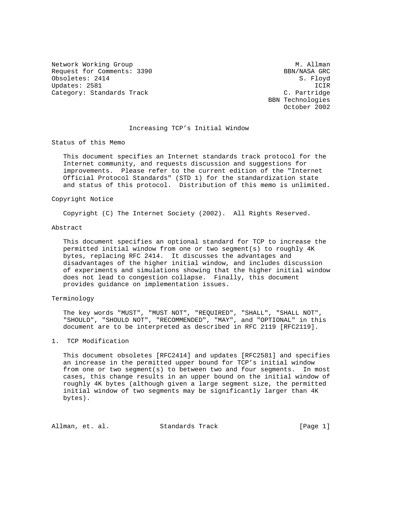Network Working Group and Month Communications of M. Allman Request for Comments: 3390 BBN/NASA GRC Obsoletes: 2414 S. Floyd Updates: 2581 ICIR Category: Standards Track C. Partridge

 BBN Technologies October 2002

## Increasing TCP's Initial Window

Status of this Memo

 This document specifies an Internet standards track protocol for the Internet community, and requests discussion and suggestions for improvements. Please refer to the current edition of the "Internet Official Protocol Standards" (STD 1) for the standardization state and status of this protocol. Distribution of this memo is unlimited.

## Copyright Notice

Copyright (C) The Internet Society (2002). All Rights Reserved.

## Abstract

 This document specifies an optional standard for TCP to increase the permitted initial window from one or two segment(s) to roughly 4K bytes, replacing RFC 2414. It discusses the advantages and disadvantages of the higher initial window, and includes discussion of experiments and simulations showing that the higher initial window does not lead to congestion collapse. Finally, this document provides guidance on implementation issues.

## Terminology

 The key words "MUST", "MUST NOT", "REQUIRED", "SHALL", "SHALL NOT", "SHOULD", "SHOULD NOT", "RECOMMENDED", "MAY", and "OPTIONAL" in this document are to be interpreted as described in RFC 2119 [RFC2119].

# 1. TCP Modification

 This document obsoletes [RFC2414] and updates [RFC2581] and specifies an increase in the permitted upper bound for TCP's initial window from one or two segment(s) to between two and four segments. In most cases, this change results in an upper bound on the initial window of roughly 4K bytes (although given a large segment size, the permitted initial window of two segments may be significantly larger than 4K bytes).

| Allman, et. al.<br>Standards Track | [Page 1] |
|------------------------------------|----------|
|------------------------------------|----------|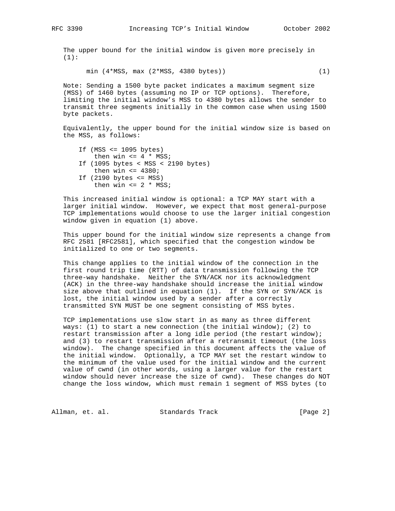The upper bound for the initial window is given more precisely in  $(1):$ 

min (4\*MSS, max (2\*MSS, 4380 bytes)) (1)

 Note: Sending a 1500 byte packet indicates a maximum segment size (MSS) of 1460 bytes (assuming no IP or TCP options). Therefore, limiting the initial window's MSS to 4380 bytes allows the sender to transmit three segments initially in the common case when using 1500 byte packets.

 Equivalently, the upper bound for the initial window size is based on the MSS, as follows:

If  $(MSS \leq 1095 \text{ bytes})$ then win  $\leq 4$  \* MSS; If (1095 bytes < MSS < 2190 bytes) then win  $\leq 4380$ ; If (2190 bytes <= MSS) then win  $\leq 2$  \* MSS;

 This increased initial window is optional: a TCP MAY start with a larger initial window. However, we expect that most general-purpose TCP implementations would choose to use the larger initial congestion window given in equation (1) above.

 This upper bound for the initial window size represents a change from RFC 2581 [RFC2581], which specified that the congestion window be initialized to one or two segments.

 This change applies to the initial window of the connection in the first round trip time (RTT) of data transmission following the TCP three-way handshake. Neither the SYN/ACK nor its acknowledgment (ACK) in the three-way handshake should increase the initial window size above that outlined in equation (1). If the SYN or SYN/ACK is lost, the initial window used by a sender after a correctly transmitted SYN MUST be one segment consisting of MSS bytes.

 TCP implementations use slow start in as many as three different ways: (1) to start a new connection (the initial window); (2) to restart transmission after a long idle period (the restart window); and (3) to restart transmission after a retransmit timeout (the loss window). The change specified in this document affects the value of the initial window. Optionally, a TCP MAY set the restart window to the minimum of the value used for the initial window and the current value of cwnd (in other words, using a larger value for the restart window should never increase the size of cwnd). These changes do NOT change the loss window, which must remain 1 segment of MSS bytes (to

Allman, et. al. Standards Track [Page 2]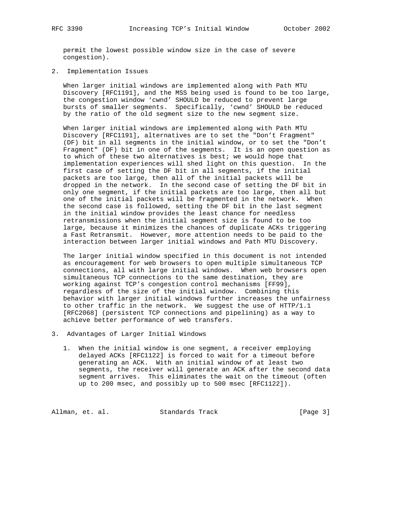permit the lowest possible window size in the case of severe congestion).

2. Implementation Issues

 When larger initial windows are implemented along with Path MTU Discovery [RFC1191], and the MSS being used is found to be too large, the congestion window 'cwnd' SHOULD be reduced to prevent large bursts of smaller segments. Specifically, 'cwnd' SHOULD be reduced by the ratio of the old segment size to the new segment size.

 When larger initial windows are implemented along with Path MTU Discovery [RFC1191], alternatives are to set the "Don't Fragment" (DF) bit in all segments in the initial window, or to set the "Don't Fragment" (DF) bit in one of the segments. It is an open question as to which of these two alternatives is best; we would hope that implementation experiences will shed light on this question. In the first case of setting the DF bit in all segments, if the initial packets are too large, then all of the initial packets will be dropped in the network. In the second case of setting the DF bit in only one segment, if the initial packets are too large, then all but one of the initial packets will be fragmented in the network. When the second case is followed, setting the DF bit in the last segment in the initial window provides the least chance for needless retransmissions when the initial segment size is found to be too large, because it minimizes the chances of duplicate ACKs triggering a Fast Retransmit. However, more attention needs to be paid to the interaction between larger initial windows and Path MTU Discovery.

 The larger initial window specified in this document is not intended as encouragement for web browsers to open multiple simultaneous TCP connections, all with large initial windows. When web browsers open simultaneous TCP connections to the same destination, they are working against TCP's congestion control mechanisms [FF99], regardless of the size of the initial window. Combining this behavior with larger initial windows further increases the unfairness to other traffic in the network. We suggest the use of HTTP/1.1 [RFC2068] (persistent TCP connections and pipelining) as a way to achieve better performance of web transfers.

- 3. Advantages of Larger Initial Windows
	- 1. When the initial window is one segment, a receiver employing delayed ACKs [RFC1122] is forced to wait for a timeout before generating an ACK. With an initial window of at least two segments, the receiver will generate an ACK after the second data segment arrives. This eliminates the wait on the timeout (often up to 200 msec, and possibly up to 500 msec [RFC1122]).

Allman, et. al. Standards Track [Page 3]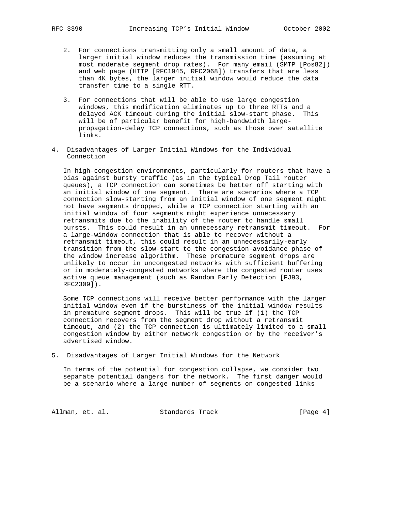- 2. For connections transmitting only a small amount of data, a larger initial window reduces the transmission time (assuming at most moderate segment drop rates). For many email (SMTP [Pos82]) and web page (HTTP [RFC1945, RFC2068]) transfers that are less than 4K bytes, the larger initial window would reduce the data transfer time to a single RTT.
- 3. For connections that will be able to use large congestion windows, this modification eliminates up to three RTTs and a delayed ACK timeout during the initial slow-start phase. This will be of particular benefit for high-bandwidth large propagation-delay TCP connections, such as those over satellite links.
- 4. Disadvantages of Larger Initial Windows for the Individual Connection

 In high-congestion environments, particularly for routers that have a bias against bursty traffic (as in the typical Drop Tail router queues), a TCP connection can sometimes be better off starting with an initial window of one segment. There are scenarios where a TCP connection slow-starting from an initial window of one segment might not have segments dropped, while a TCP connection starting with an initial window of four segments might experience unnecessary retransmits due to the inability of the router to handle small bursts. This could result in an unnecessary retransmit timeout. For a large-window connection that is able to recover without a retransmit timeout, this could result in an unnecessarily-early transition from the slow-start to the congestion-avoidance phase of the window increase algorithm. These premature segment drops are unlikely to occur in uncongested networks with sufficient buffering or in moderately-congested networks where the congested router uses active queue management (such as Random Early Detection [FJ93, RFC2309]).

 Some TCP connections will receive better performance with the larger initial window even if the burstiness of the initial window results in premature segment drops. This will be true if (1) the TCP connection recovers from the segment drop without a retransmit timeout, and (2) the TCP connection is ultimately limited to a small congestion window by either network congestion or by the receiver's advertised window.

5. Disadvantages of Larger Initial Windows for the Network

 In terms of the potential for congestion collapse, we consider two separate potential dangers for the network. The first danger would be a scenario where a large number of segments on congested links

Allman, et. al. Standards Track [Page 4]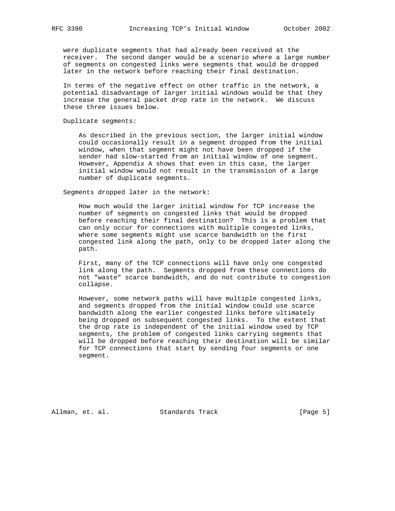were duplicate segments that had already been received at the receiver. The second danger would be a scenario where a large number of segments on congested links were segments that would be dropped later in the network before reaching their final destination.

 In terms of the negative effect on other traffic in the network, a potential disadvantage of larger initial windows would be that they increase the general packet drop rate in the network. We discuss these three issues below.

Duplicate segments:

 As described in the previous section, the larger initial window could occasionally result in a segment dropped from the initial window, when that segment might not have been dropped if the sender had slow-started from an initial window of one segment. However, Appendix A shows that even in this case, the larger initial window would not result in the transmission of a large number of duplicate segments.

Segments dropped later in the network:

 How much would the larger initial window for TCP increase the number of segments on congested links that would be dropped before reaching their final destination? This is a problem that can only occur for connections with multiple congested links, where some segments might use scarce bandwidth on the first congested link along the path, only to be dropped later along the path.

 First, many of the TCP connections will have only one congested link along the path. Segments dropped from these connections do not "waste" scarce bandwidth, and do not contribute to congestion collapse.

 However, some network paths will have multiple congested links, and segments dropped from the initial window could use scarce bandwidth along the earlier congested links before ultimately being dropped on subsequent congested links. To the extent that the drop rate is independent of the initial window used by TCP segments, the problem of congested links carrying segments that will be dropped before reaching their destination will be similar for TCP connections that start by sending four segments or one segment.

Allman, et. al. Standards Track [Page 5]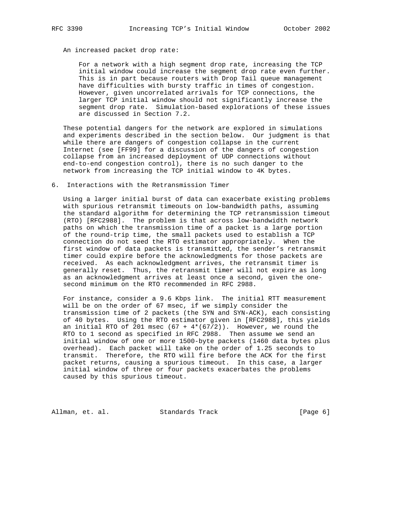# An increased packet drop rate:

 For a network with a high segment drop rate, increasing the TCP initial window could increase the segment drop rate even further. This is in part because routers with Drop Tail queue management have difficulties with bursty traffic in times of congestion. However, given uncorrelated arrivals for TCP connections, the larger TCP initial window should not significantly increase the segment drop rate. Simulation-based explorations of these issues are discussed in Section 7.2.

 These potential dangers for the network are explored in simulations and experiments described in the section below. Our judgment is that while there are dangers of congestion collapse in the current Internet (see [FF99] for a discussion of the dangers of congestion collapse from an increased deployment of UDP connections without end-to-end congestion control), there is no such danger to the network from increasing the TCP initial window to 4K bytes.

### 6. Interactions with the Retransmission Timer

 Using a larger initial burst of data can exacerbate existing problems with spurious retransmit timeouts on low-bandwidth paths, assuming the standard algorithm for determining the TCP retransmission timeout (RTO) [RFC2988]. The problem is that across low-bandwidth network paths on which the transmission time of a packet is a large portion of the round-trip time, the small packets used to establish a TCP connection do not seed the RTO estimator appropriately. When the first window of data packets is transmitted, the sender's retransmit timer could expire before the acknowledgments for those packets are received. As each acknowledgment arrives, the retransmit timer is generally reset. Thus, the retransmit timer will not expire as long as an acknowledgment arrives at least once a second, given the one second minimum on the RTO recommended in RFC 2988.

 For instance, consider a 9.6 Kbps link. The initial RTT measurement will be on the order of 67 msec, if we simply consider the transmission time of 2 packets (the SYN and SYN-ACK), each consisting of 40 bytes. Using the RTO estimator given in [RFC2988], this yields an initial RTO of 201 msec  $(67 + 4*(67/2))$ . However, we round the RTO to 1 second as specified in RFC 2988. Then assume we send an initial window of one or more 1500-byte packets (1460 data bytes plus overhead). Each packet will take on the order of 1.25 seconds to transmit. Therefore, the RTO will fire before the ACK for the first packet returns, causing a spurious timeout. In this case, a larger initial window of three or four packets exacerbates the problems caused by this spurious timeout.

Allman, et. al. Standards Track [Page 6]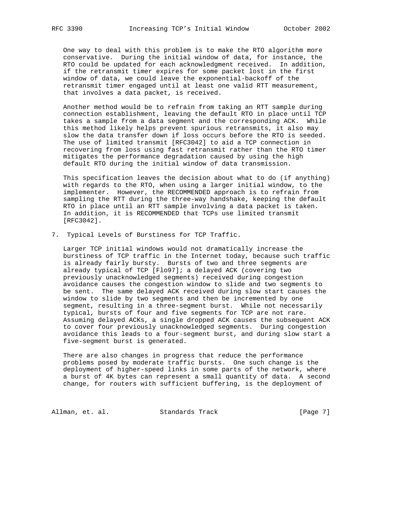One way to deal with this problem is to make the RTO algorithm more conservative. During the initial window of data, for instance, the RTO could be updated for each acknowledgment received. In addition, if the retransmit timer expires for some packet lost in the first window of data, we could leave the exponential-backoff of the retransmit timer engaged until at least one valid RTT measurement, that involves a data packet, is received.

 Another method would be to refrain from taking an RTT sample during connection establishment, leaving the default RTO in place until TCP takes a sample from a data segment and the corresponding ACK. While this method likely helps prevent spurious retransmits, it also may slow the data transfer down if loss occurs before the RTO is seeded. The use of limited transmit [RFC3042] to aid a TCP connection in recovering from loss using fast retransmit rather than the RTO timer mitigates the performance degradation caused by using the high default RTO during the initial window of data transmission.

 This specification leaves the decision about what to do (if anything) with regards to the RTO, when using a larger initial window, to the implementer. However, the RECOMMENDED approach is to refrain from sampling the RTT during the three-way handshake, keeping the default RTO in place until an RTT sample involving a data packet is taken. In addition, it is RECOMMENDED that TCPs use limited transmit [RFC3042].

7. Typical Levels of Burstiness for TCP Traffic.

 Larger TCP initial windows would not dramatically increase the burstiness of TCP traffic in the Internet today, because such traffic is already fairly bursty. Bursts of two and three segments are already typical of TCP [Flo97]; a delayed ACK (covering two previously unacknowledged segments) received during congestion avoidance causes the congestion window to slide and two segments to be sent. The same delayed ACK received during slow start causes the window to slide by two segments and then be incremented by one segment, resulting in a three-segment burst. While not necessarily typical, bursts of four and five segments for TCP are not rare. Assuming delayed ACKs, a single dropped ACK causes the subsequent ACK to cover four previously unacknowledged segments. During congestion avoidance this leads to a four-segment burst, and during slow start a five-segment burst is generated.

 There are also changes in progress that reduce the performance problems posed by moderate traffic bursts. One such change is the deployment of higher-speed links in some parts of the network, where a burst of 4K bytes can represent a small quantity of data. A second change, for routers with sufficient buffering, is the deployment of

Allman, et. al. Standards Track [Page 7]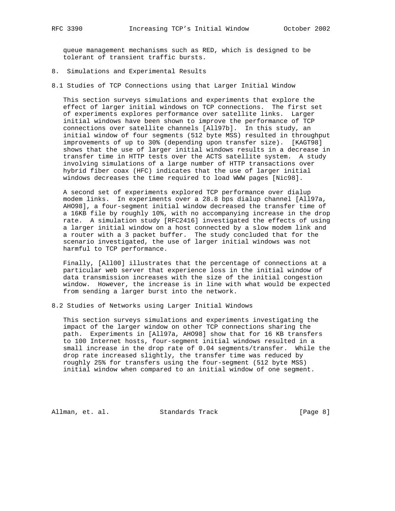queue management mechanisms such as RED, which is designed to be tolerant of transient traffic bursts.

- 8. Simulations and Experimental Results
- 8.1 Studies of TCP Connections using that Larger Initial Window

 This section surveys simulations and experiments that explore the effect of larger initial windows on TCP connections. The first set of experiments explores performance over satellite links. Larger initial windows have been shown to improve the performance of TCP connections over satellite channels [All97b]. In this study, an initial window of four segments (512 byte MSS) resulted in throughput improvements of up to 30% (depending upon transfer size). [KAGT98] shows that the use of larger initial windows results in a decrease in transfer time in HTTP tests over the ACTS satellite system. A study involving simulations of a large number of HTTP transactions over hybrid fiber coax (HFC) indicates that the use of larger initial windows decreases the time required to load WWW pages [Nic98].

 A second set of experiments explored TCP performance over dialup modem links. In experiments over a 28.8 bps dialup channel [All97a, AHO98], a four-segment initial window decreased the transfer time of a 16KB file by roughly 10%, with no accompanying increase in the drop rate. A simulation study [RFC2416] investigated the effects of using a larger initial window on a host connected by a slow modem link and a router with a 3 packet buffer. The study concluded that for the scenario investigated, the use of larger initial windows was not harmful to TCP performance.

 Finally, [All00] illustrates that the percentage of connections at a particular web server that experience loss in the initial window of data transmission increases with the size of the initial congestion window. However, the increase is in line with what would be expected from sending a larger burst into the network.

8.2 Studies of Networks using Larger Initial Windows

 This section surveys simulations and experiments investigating the impact of the larger window on other TCP connections sharing the path. Experiments in [All97a, AHO98] show that for 16 KB transfers to 100 Internet hosts, four-segment initial windows resulted in a small increase in the drop rate of 0.04 segments/transfer. While the drop rate increased slightly, the transfer time was reduced by roughly 25% for transfers using the four-segment (512 byte MSS) initial window when compared to an initial window of one segment.

Allman, et. al. Standards Track [Page 8]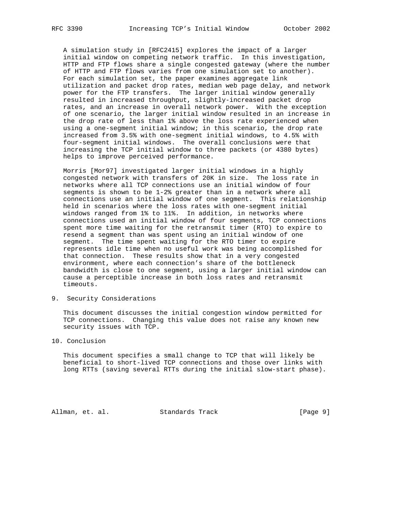A simulation study in [RFC2415] explores the impact of a larger initial window on competing network traffic. In this investigation, HTTP and FTP flows share a single congested gateway (where the number of HTTP and FTP flows varies from one simulation set to another). For each simulation set, the paper examines aggregate link utilization and packet drop rates, median web page delay, and network power for the FTP transfers. The larger initial window generally resulted in increased throughput, slightly-increased packet drop rates, and an increase in overall network power. With the exception of one scenario, the larger initial window resulted in an increase in the drop rate of less than 1% above the loss rate experienced when using a one-segment initial window; in this scenario, the drop rate increased from 3.5% with one-segment initial windows, to 4.5% with four-segment initial windows. The overall conclusions were that increasing the TCP initial window to three packets (or 4380 bytes) helps to improve perceived performance.

 Morris [Mor97] investigated larger initial windows in a highly congested network with transfers of 20K in size. The loss rate in networks where all TCP connections use an initial window of four segments is shown to be 1-2% greater than in a network where all connections use an initial window of one segment. This relationship held in scenarios where the loss rates with one-segment initial windows ranged from 1% to 11%. In addition, in networks where connections used an initial window of four segments, TCP connections spent more time waiting for the retransmit timer (RTO) to expire to resend a segment than was spent using an initial window of one segment. The time spent waiting for the RTO timer to expire represents idle time when no useful work was being accomplished for that connection. These results show that in a very congested environment, where each connection's share of the bottleneck bandwidth is close to one segment, using a larger initial window can cause a perceptible increase in both loss rates and retransmit timeouts.

9. Security Considerations

 This document discusses the initial congestion window permitted for TCP connections. Changing this value does not raise any known new security issues with TCP.

# 10. Conclusion

 This document specifies a small change to TCP that will likely be beneficial to short-lived TCP connections and those over links with long RTTs (saving several RTTs during the initial slow-start phase).

Allman, et. al. Standards Track [Page 9]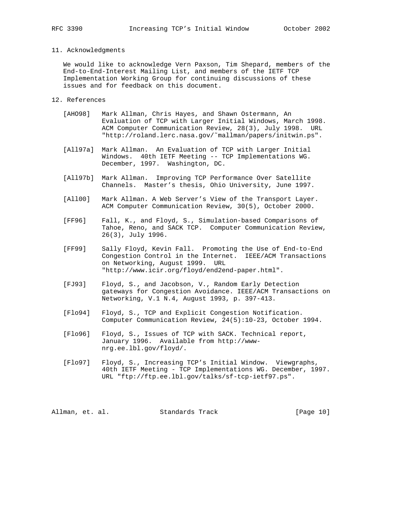## 11. Acknowledgments

 We would like to acknowledge Vern Paxson, Tim Shepard, members of the End-to-End-Interest Mailing List, and members of the IETF TCP Implementation Working Group for continuing discussions of these issues and for feedback on this document.

- 12. References
	- [AHO98] Mark Allman, Chris Hayes, and Shawn Ostermann, An Evaluation of TCP with Larger Initial Windows, March 1998. ACM Computer Communication Review, 28(3), July 1998. URL "http://roland.lerc.nasa.gov/˜mallman/papers/initwin.ps".
	- [All97a] Mark Allman. An Evaluation of TCP with Larger Initial Windows. 40th IETF Meeting -- TCP Implementations WG. December, 1997. Washington, DC.
	- [All97b] Mark Allman. Improving TCP Performance Over Satellite Channels. Master's thesis, Ohio University, June 1997.
	- [All00] Mark Allman. A Web Server's View of the Transport Layer. ACM Computer Communication Review, 30(5), October 2000.
	- [FF96] Fall, K., and Floyd, S., Simulation-based Comparisons of Tahoe, Reno, and SACK TCP. Computer Communication Review, 26(3), July 1996.
	- [FF99] Sally Floyd, Kevin Fall. Promoting the Use of End-to-End Congestion Control in the Internet. IEEE/ACM Transactions on Networking, August 1999. URL "http://www.icir.org/floyd/end2end-paper.html".
	- [FJ93] Floyd, S., and Jacobson, V., Random Early Detection gateways for Congestion Avoidance. IEEE/ACM Transactions on Networking, V.1 N.4, August 1993, p. 397-413.
	- [Flo94] Floyd, S., TCP and Explicit Congestion Notification. Computer Communication Review, 24(5):10-23, October 1994.
	- [Flo96] Floyd, S., Issues of TCP with SACK. Technical report, January 1996. Available from http://www nrg.ee.lbl.gov/floyd/.
	- [Flo97] Floyd, S., Increasing TCP's Initial Window. Viewgraphs, 40th IETF Meeting - TCP Implementations WG. December, 1997. URL "ftp://ftp.ee.lbl.gov/talks/sf-tcp-ietf97.ps".

Allman, et. al. Standards Track [Page 10]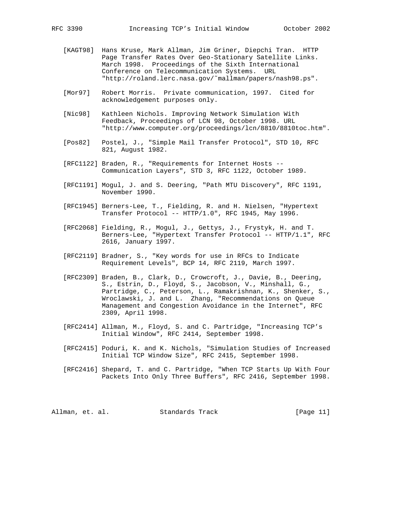- [KAGT98] Hans Kruse, Mark Allman, Jim Griner, Diepchi Tran. HTTP Page Transfer Rates Over Geo-Stationary Satellite Links. March 1998. Proceedings of the Sixth International Conference on Telecommunication Systems. URL "http://roland.lerc.nasa.gov/˜mallman/papers/nash98.ps".
- [Mor97] Robert Morris. Private communication, 1997. Cited for acknowledgement purposes only.
- [Nic98] Kathleen Nichols. Improving Network Simulation With Feedback, Proceedings of LCN 98, October 1998. URL "http://www.computer.org/proceedings/lcn/8810/8810toc.htm".
- [Pos82] Postel, J., "Simple Mail Transfer Protocol", STD 10, RFC 821, August 1982.
- [RFC1122] Braden, R., "Requirements for Internet Hosts -- Communication Layers", STD 3, RFC 1122, October 1989.
- [RFC1191] Mogul, J. and S. Deering, "Path MTU Discovery", RFC 1191, November 1990.
- [RFC1945] Berners-Lee, T., Fielding, R. and H. Nielsen, "Hypertext Transfer Protocol -- HTTP/1.0", RFC 1945, May 1996.
- [RFC2068] Fielding, R., Mogul, J., Gettys, J., Frystyk, H. and T. Berners-Lee, "Hypertext Transfer Protocol -- HTTP/1.1", RFC 2616, January 1997.
	- [RFC2119] Bradner, S., "Key words for use in RFCs to Indicate Requirement Levels", BCP 14, RFC 2119, March 1997.
	- [RFC2309] Braden, B., Clark, D., Crowcroft, J., Davie, B., Deering, S., Estrin, D., Floyd, S., Jacobson, V., Minshall, G., Partridge, C., Peterson, L., Ramakrishnan, K., Shenker, S., Wroclawski, J. and L. Zhang, "Recommendations on Queue Management and Congestion Avoidance in the Internet", RFC 2309, April 1998.
	- [RFC2414] Allman, M., Floyd, S. and C. Partridge, "Increasing TCP's Initial Window", RFC 2414, September 1998.
	- [RFC2415] Poduri, K. and K. Nichols, "Simulation Studies of Increased Initial TCP Window Size", RFC 2415, September 1998.
	- [RFC2416] Shepard, T. and C. Partridge, "When TCP Starts Up With Four Packets Into Only Three Buffers", RFC 2416, September 1998.

Allman, et. al. Standards Track [Page 11]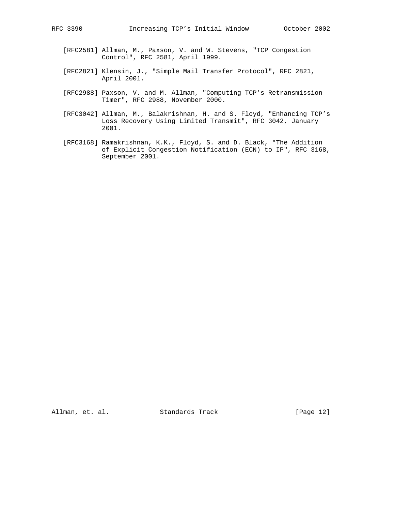- [RFC2581] Allman, M., Paxson, V. and W. Stevens, "TCP Congestion Control", RFC 2581, April 1999.
- [RFC2821] Klensin, J., "Simple Mail Transfer Protocol", RFC 2821, April 2001.
- [RFC2988] Paxson, V. and M. Allman, "Computing TCP's Retransmission Timer", RFC 2988, November 2000.
- [RFC3042] Allman, M., Balakrishnan, H. and S. Floyd, "Enhancing TCP's Loss Recovery Using Limited Transmit", RFC 3042, January 2001.
- [RFC3168] Ramakrishnan, K.K., Floyd, S. and D. Black, "The Addition of Explicit Congestion Notification (ECN) to IP", RFC 3168, September 2001.

Allman, et. al. Standards Track [Page 12]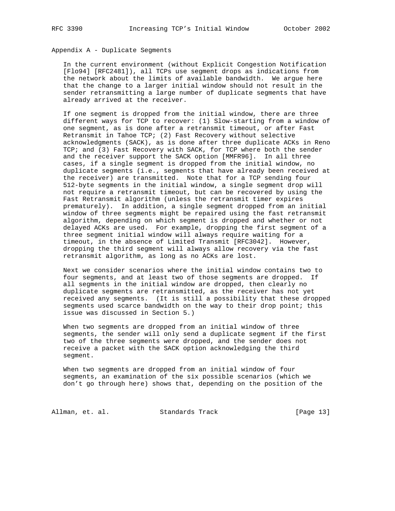# Appendix A - Duplicate Segments

 In the current environment (without Explicit Congestion Notification [Flo94] [RFC2481]), all TCPs use segment drops as indications from the network about the limits of available bandwidth. We argue here that the change to a larger initial window should not result in the sender retransmitting a large number of duplicate segments that have already arrived at the receiver.

 If one segment is dropped from the initial window, there are three different ways for TCP to recover: (1) Slow-starting from a window of one segment, as is done after a retransmit timeout, or after Fast Retransmit in Tahoe TCP; (2) Fast Recovery without selective acknowledgments (SACK), as is done after three duplicate ACKs in Reno TCP; and (3) Fast Recovery with SACK, for TCP where both the sender and the receiver support the SACK option [MMFR96]. In all three cases, if a single segment is dropped from the initial window, no duplicate segments (i.e., segments that have already been received at the receiver) are transmitted. Note that for a TCP sending four 512-byte segments in the initial window, a single segment drop will not require a retransmit timeout, but can be recovered by using the Fast Retransmit algorithm (unless the retransmit timer expires prematurely). In addition, a single segment dropped from an initial window of three segments might be repaired using the fast retransmit algorithm, depending on which segment is dropped and whether or not delayed ACKs are used. For example, dropping the first segment of a three segment initial window will always require waiting for a timeout, in the absence of Limited Transmit [RFC3042]. However, dropping the third segment will always allow recovery via the fast retransmit algorithm, as long as no ACKs are lost.

 Next we consider scenarios where the initial window contains two to four segments, and at least two of those segments are dropped. If all segments in the initial window are dropped, then clearly no duplicate segments are retransmitted, as the receiver has not yet received any segments. (It is still a possibility that these dropped segments used scarce bandwidth on the way to their drop point; this issue was discussed in Section 5.)

 When two segments are dropped from an initial window of three segments, the sender will only send a duplicate segment if the first two of the three segments were dropped, and the sender does not receive a packet with the SACK option acknowledging the third segment.

 When two segments are dropped from an initial window of four segments, an examination of the six possible scenarios (which we don't go through here) shows that, depending on the position of the

Allman, et. al. Standards Track [Page 13]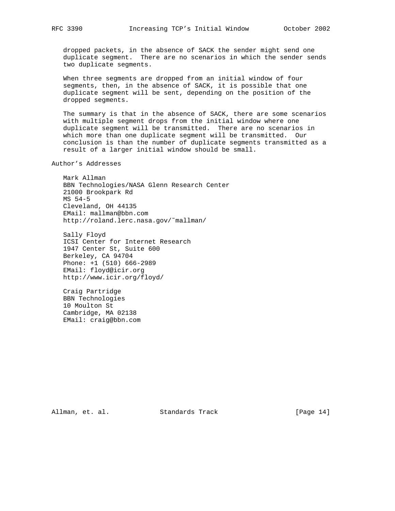dropped packets, in the absence of SACK the sender might send one duplicate segment. There are no scenarios in which the sender sends two duplicate segments.

 When three segments are dropped from an initial window of four segments, then, in the absence of SACK, it is possible that one duplicate segment will be sent, depending on the position of the dropped segments.

 The summary is that in the absence of SACK, there are some scenarios with multiple segment drops from the initial window where one duplicate segment will be transmitted. There are no scenarios in which more than one duplicate segment will be transmitted. Our conclusion is than the number of duplicate segments transmitted as a result of a larger initial window should be small.

Author's Addresses

 Mark Allman BBN Technologies/NASA Glenn Research Center 21000 Brookpark Rd MS 54-5 Cleveland, OH 44135 EMail: mallman@bbn.com http://roland.lerc.nasa.gov/˜mallman/

 Sally Floyd ICSI Center for Internet Research 1947 Center St, Suite 600 Berkeley, CA 94704 Phone: +1 (510) 666-2989 EMail: floyd@icir.org http://www.icir.org/floyd/

 Craig Partridge BBN Technologies 10 Moulton St Cambridge, MA 02138 EMail: craig@bbn.com

Allman, et. al. Standards Track [Page 14]